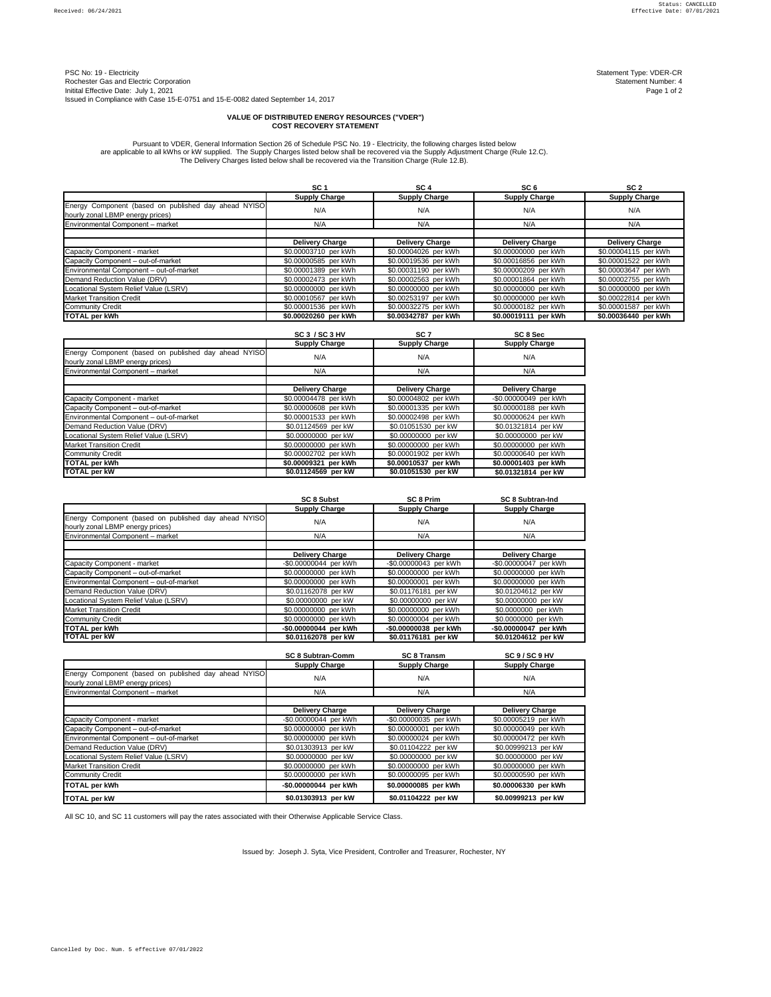PSC No: 19 - Electricity Statement Type: VDER-CR<br>Rochester Gas and Electric Corporation Statement Number: 4 Rochester Gas and Electric Corporation Statement Number: 4<br>
Initital Effective Date: July 1, 2021 Page 1 of 2 Initital Effective Date: July 1, 2021 Issued in Compliance with Case 15-E-0751 and 15-E-0082 dated September 14, 2017

|                                                                                          | SC <sub>1</sub>        | SC <sub>4</sub>        | SC <sub>6</sub>        | SC <sub>2</sub>        |
|------------------------------------------------------------------------------------------|------------------------|------------------------|------------------------|------------------------|
|                                                                                          | <b>Supply Charge</b>   | <b>Supply Charge</b>   | <b>Supply Charge</b>   | <b>Supply Charge</b>   |
| Energy Component (based on published day ahead NYISO<br>hourly zonal LBMP energy prices) | N/A                    | N/A                    | N/A                    | N/A                    |
| Environmental Component - market                                                         | N/A                    | N/A                    | N/A                    | N/A                    |
|                                                                                          |                        |                        |                        |                        |
|                                                                                          | <b>Delivery Charge</b> | <b>Delivery Charge</b> | <b>Delivery Charge</b> | <b>Delivery Charge</b> |
| Capacity Component - market                                                              | \$0.00003710 per kWh   | \$0.00004026 per kWh   | \$0.00000000 per kWh   | \$0.00004115 per kWh   |
| Capacity Component - out-of-market                                                       | \$0.00000585 per kWh   | \$0.00019536 per kWh   | \$0.00016856 per kWh   | \$0.00001522 per kWh   |
| Environmental Component - out-of-market                                                  | \$0.00001389 per kWh   | \$0.00031190 per kWh   | \$0.00000209 per kWh   | \$0.00003647 per kWh   |
| Demand Reduction Value (DRV)                                                             | \$0.00002473 per kWh   | \$0.00002563 per kWh   | \$0.00001864 per kWh   | \$0.00002755 per kWh   |
| Locational System Relief Value (LSRV)                                                    | \$0.00000000 per kWh   | \$0.00000000 per kWh   | \$0.00000000 per kWh   | \$0.00000000 per kWh   |
| <b>Market Transition Credit</b>                                                          | \$0.00010567 per kWh   | \$0.00253197 per kWh   | \$0.00000000 per kWh   | \$0.00022814 per kWh   |
| <b>Community Credit</b>                                                                  | \$0.00001536 per kWh   | \$0.00032275 per kWh   | \$0.00000182 per kWh   | \$0.00001587 per kWh   |
| <b>TOTAL per kWh</b>                                                                     | \$0.00020260 per kWh   | \$0.00342787 per kWh   | \$0.00019111 per kWh   | \$0.00036440 per kWh   |

|                                                                                          | <b>SC 3 / SC 3 HV</b>  | SC <sub>7</sub>        | SC 8 Sec               |
|------------------------------------------------------------------------------------------|------------------------|------------------------|------------------------|
|                                                                                          | <b>Supply Charge</b>   | <b>Supply Charge</b>   | <b>Supply Charge</b>   |
| Energy Component (based on published day ahead NYISO<br>hourly zonal LBMP energy prices) | N/A                    | N/A                    | N/A                    |
| Environmental Component - market                                                         | N/A                    | N/A                    | N/A                    |
|                                                                                          |                        |                        |                        |
|                                                                                          | <b>Delivery Charge</b> | <b>Delivery Charge</b> | <b>Delivery Charge</b> |
| Capacity Component - market                                                              | \$0.00004478 per kWh   | \$0.00004802 per kWh   | -\$0.00000049 per kWh  |
| Capacity Component - out-of-market                                                       | \$0.00000608 per kWh   | \$0.00001335 per kWh   | \$0.00000188 per kWh   |
| Environmental Component - out-of-market                                                  | \$0.00001533 per kWh   | \$0.00002498 per kWh   | \$0.00000624 per kWh   |
| Demand Reduction Value (DRV)                                                             | \$0.01124569 per kW    | \$0.01051530 per kW    | \$0.01321814 per kW    |
| Locational System Relief Value (LSRV)                                                    | \$0.00000000 per kW    | \$0.00000000 per kW    | \$0.00000000 per kW    |
| <b>Market Transition Credit</b>                                                          | \$0.00000000 per kWh   | \$0.00000000 per kWh   | \$0.00000000 per kWh   |
| <b>Community Credit</b>                                                                  | \$0.00002702 per kWh   | \$0.00001902 per kWh   | \$0.00000640 per kWh   |
| <b>TOTAL per kWh</b>                                                                     | \$0.00009321 per kWh   | \$0.00010537 per kWh   | \$0.00001403 per kWh   |
| <b>TOTAL per kW</b>                                                                      | \$0.01124569 per kW    | \$0.01051530 per kW    | \$0.01321814 per kW    |

|                                                      | <b>SC 8 Subst</b>        | <b>SC 8 Prim</b>       | <b>SC 8 Subtran-Ind</b> |
|------------------------------------------------------|--------------------------|------------------------|-------------------------|
|                                                      | <b>Supply Charge</b>     | <b>Supply Charge</b>   | <b>Supply Charge</b>    |
| Energy Component (based on published day ahead NYISO | N/A                      | N/A                    | N/A                     |
| hourly zonal LBMP energy prices)                     |                          |                        |                         |
| Environmental Component - market                     | N/A                      | N/A                    | N/A                     |
|                                                      |                          |                        |                         |
|                                                      | <b>Delivery Charge</b>   | <b>Delivery Charge</b> | <b>Delivery Charge</b>  |
| Capacity Component - market                          | -\$0.00000044 per kWh    | -\$0.00000043 per kWh  | -\$0.00000047 per kWh   |
| Capacity Component - out-of-market                   | \$0.00000000 per kWh     | \$0.00000000 per kWh   | \$0.00000000 per kWh    |
| Environmental Component - out-of-market              | \$0.00000000 per kWh     | \$0.00000001 per kWh   | \$0.00000000 per kWh    |
| Demand Reduction Value (DRV)                         | \$0.01162078 per kW      | \$0.01176181 per kW    | \$0.01204612 per kW     |
| Locational System Relief Value (LSRV)                | \$0.00000000 per kW      | \$0.00000000 per kW    | \$0.00000000 per kW     |
| <b>Market Transition Credit</b>                      | \$0.00000000 per kWh     | \$0.00000000 per kWh   | \$0.0000000 per kWh     |
| <b>Community Credit</b>                              | \$0.00000000 per kWh     | \$0.00000004 per kWh   | \$0.0000000 per kWh     |
| <b>TOTAL per kWh</b>                                 | -\$0.00000044 per kWh    | -\$0.00000038 per kWh  | -\$0.00000047 per kWh   |
| <b>TOTAL per kW</b>                                  | \$0.01162078 per kW      | \$0.01176181 per kW    | \$0.01204612 per kW     |
|                                                      |                          |                        |                         |
|                                                      | <b>SC 8 Subtran-Comm</b> | <b>SC 8 Transm</b>     | SC 9 / SC 9 HV          |
|                                                      | <b>Supply Charge</b>     | <b>Supply Charge</b>   | <b>Supply Charge</b>    |
| Energy Component (based on published day ahead NYISO | N/A                      | N/A                    | N/A                     |
| hourly zonal LBMP energy prices)                     |                          |                        |                         |
| Environmental Component - market                     | N/A                      | N/A                    | N/A                     |
|                                                      |                          |                        |                         |
|                                                      | <b>Delivery Charge</b>   | <b>Delivery Charge</b> | <b>Delivery Charge</b>  |
| Capacity Component - market                          | -\$0.00000044 per kWh    | -\$0.00000035 per kWh  | \$0.00005219 per kWh    |
| Capacity Component - out-of-market                   | \$0.00000000 per kWh     | \$0.00000001 per kWh   | \$0.00000049 per kWh    |
| Environmental Component - out-of-market              | \$0.00000000 per kWh     | \$0.00000024 per kWh   | \$0.00000472 per kWh    |
| Demand Reduction Value (DRV)                         | \$0.01303913 per kW      | \$0.01104222 per kW    | \$0.00999213 per kW     |
| Locational System Relief Value (LSRV)                | \$0.00000000 per kW      | \$0.00000000 per kW    | \$0.00000000 per kW     |
| <b>Market Transition Credit</b>                      | \$0.00000000 per kWh     | \$0.00000000 per kWh   | \$0.00000000 per kWh    |
| <b>Community Credit</b>                              | \$0.00000000 per kWh     | \$0.00000095 per kWh   | \$0.00000590 per kWh    |
| <b>TOTAL per kWh</b>                                 | -\$0.00000044 per kWh    | \$0.00000085 per kWh   | \$0.00006330 per kWh    |
| <b>TOTAL per kW</b>                                  | \$0.01303913 per kW      | \$0.01104222 per kW    | \$0.00999213 per kW     |

Issued by: Joseph J. Syta, Vice President, Controller and Treasurer, Rochester, NY

## **VALUE OF DISTRIBUTED ENERGY RESOURCES ("VDER") COST RECOVERY STATEMENT**

All SC 10, and SC 11 customers will pay the rates associated with their Otherwise Applicable Service Class.

Pursuant to VDER, General Information Section 26 of Schedule PSC No. 19 - Electricity, the following charges listed below are applicable to all kWhs or kW supplied. The Supply Charges listed below shall be recovered via the Supply Adjustment Charge (Rule 12.C). The Delivery Charges listed below shall be recovered via the Transition Charge (Rule 12.B).

Cancelled by Doc. Num. 5 effective 07/01/2022